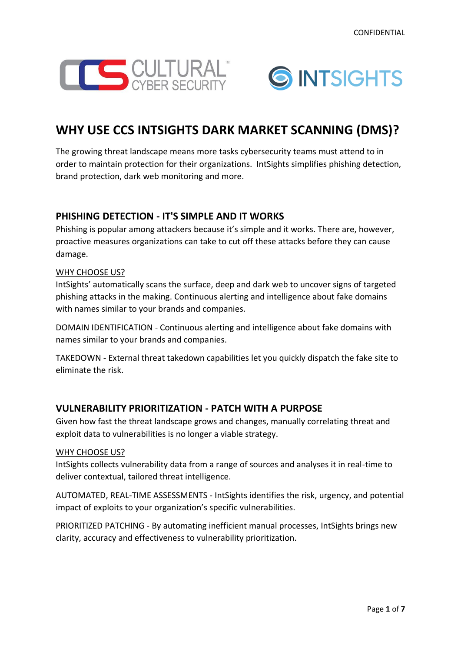



# **WHY USE CCS INTSIGHTS DARK MARKET SCANNING (DMS)?**

The growing threat landscape means more tasks cybersecurity teams must attend to in order to maintain protection for their organizations. IntSights simplifies phishing detection, brand protection, dark web monitoring and more.

# **PHISHING DETECTION - IT'S SIMPLE AND IT WORKS**

Phishing is popular among attackers because it's simple and it works. There are, however, proactive measures organizations can take to cut off these attacks before they can cause damage.

## WHY CHOOSE US?

IntSights' automatically scans the surface, deep and dark web to uncover signs of targeted phishing attacks in the making. Continuous alerting and intelligence about fake domains with names similar to your brands and companies.

DOMAIN IDENTIFICATION - Continuous alerting and intelligence about fake domains with names similar to your brands and companies.

TAKEDOWN - External threat takedown capabilities let you quickly dispatch the fake site to eliminate the risk.

## **VULNERABILITY PRIORITIZATION - PATCH WITH A PURPOSE**

Given how fast the threat landscape grows and changes, manually correlating threat and exploit data to vulnerabilities is no longer a viable strategy.

## WHY CHOOSE US?

IntSights collects vulnerability data from a range of sources and analyses it in real-time to deliver contextual, tailored threat intelligence.

AUTOMATED, REAL-TIME ASSESSMENTS - IntSights identifies the risk, urgency, and potential impact of exploits to your organization's specific vulnerabilities.

PRIORITIZED PATCHING - By automating inefficient manual processes, IntSights brings new clarity, accuracy and effectiveness to vulnerability prioritization.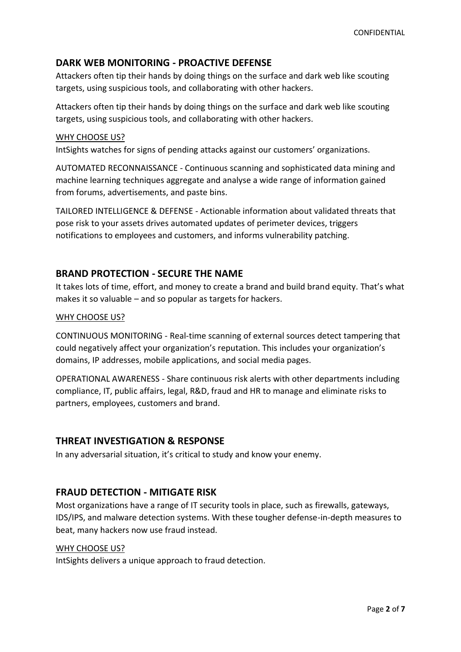# **DARK WEB MONITORING - PROACTIVE DEFENSE**

Attackers often tip their hands by doing things on the surface and dark web like scouting targets, using suspicious tools, and collaborating with other hackers.

Attackers often tip their hands by doing things on the surface and dark web like scouting targets, using suspicious tools, and collaborating with other hackers.

#### WHY CHOOSE US?

IntSights watches for signs of pending attacks against our customers' organizations.

AUTOMATED RECONNAISSANCE - Continuous scanning and sophisticated data mining and machine learning techniques aggregate and analyse a wide range of information gained from forums, advertisements, and paste bins.

TAILORED INTELLIGENCE & DEFENSE - Actionable information about validated threats that pose risk to your assets drives automated updates of perimeter devices, triggers notifications to employees and customers, and informs vulnerability patching.

## **BRAND PROTECTION - SECURE THE NAME**

It takes lots of time, effort, and money to create a brand and build brand equity. That's what makes it so valuable – and so popular as targets for hackers.

#### WHY CHOOSE US?

CONTINUOUS MONITORING - Real-time scanning of external sources detect tampering that could negatively affect your organization's reputation. This includes your organization's domains, IP addresses, mobile applications, and social media pages.

OPERATIONAL AWARENESS - Share continuous risk alerts with other departments including compliance, IT, public affairs, legal, R&D, fraud and HR to manage and eliminate risks to partners, employees, customers and brand.

## **THREAT INVESTIGATION & RESPONSE**

In any adversarial situation, it's critical to study and know your enemy.

## **FRAUD DETECTION - MITIGATE RISK**

Most organizations have a range of IT security tools in place, such as firewalls, gateways, IDS/IPS, and malware detection systems. With these tougher defense-in-depth measures to beat, many hackers now use fraud instead.

#### WHY CHOOSE US?

IntSights delivers a unique approach to fraud detection.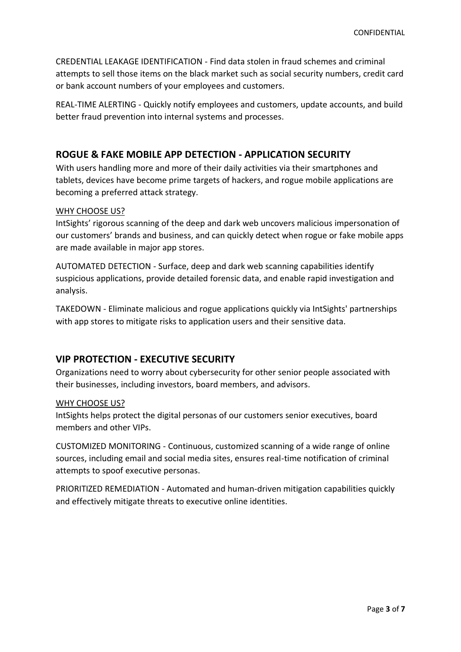CREDENTIAL LEAKAGE IDENTIFICATION - Find data stolen in fraud schemes and criminal attempts to sell those items on the black market such as social security numbers, credit card or bank account numbers of your employees and customers.

REAL-TIME ALERTING - Quickly notify employees and customers, update accounts, and build better fraud prevention into internal systems and processes.

# **ROGUE & FAKE MOBILE APP DETECTION - APPLICATION SECURITY**

With users handling more and more of their daily activities via their smartphones and tablets, devices have become prime targets of hackers, and rogue mobile applications are becoming a preferred attack strategy.

## WHY CHOOSE US?

IntSights' rigorous scanning of the deep and dark web uncovers malicious impersonation of our customers' brands and business, and can quickly detect when rogue or fake mobile apps are made available in major app stores.

AUTOMATED DETECTION - Surface, deep and dark web scanning capabilities identify suspicious applications, provide detailed forensic data, and enable rapid investigation and analysis.

TAKEDOWN - Eliminate malicious and rogue applications quickly via IntSights' partnerships with app stores to mitigate risks to application users and their sensitive data.

# **VIP PROTECTION - EXECUTIVE SECURITY**

Organizations need to worry about cybersecurity for other senior people associated with their businesses, including investors, board members, and advisors.

## WHY CHOOSE US?

IntSights helps protect the digital personas of our customers senior executives, board members and other VIPs.

CUSTOMIZED MONITORING - Continuous, customized scanning of a wide range of online sources, including email and social media sites, ensures real-time notification of criminal attempts to spoof executive personas.

PRIORITIZED REMEDIATION - Automated and human-driven mitigation capabilities quickly and effectively mitigate threats to executive online identities.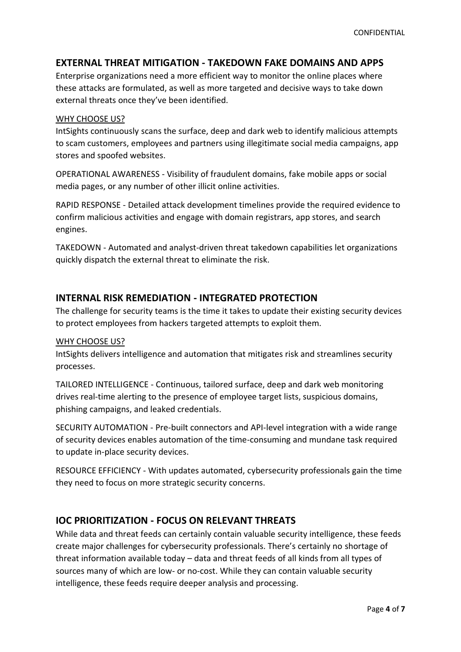# **EXTERNAL THREAT MITIGATION - TAKEDOWN FAKE DOMAINS AND APPS**

Enterprise organizations need a more efficient way to monitor the online places where these attacks are formulated, as well as more targeted and decisive ways to take down external threats once they've been identified.

#### WHY CHOOSE US?

IntSights continuously scans the surface, deep and dark web to identify malicious attempts to scam customers, employees and partners using illegitimate social media campaigns, app stores and spoofed websites.

OPERATIONAL AWARENESS - Visibility of fraudulent domains, fake mobile apps or social media pages, or any number of other illicit online activities.

RAPID RESPONSE - Detailed attack development timelines provide the required evidence to confirm malicious activities and engage with domain registrars, app stores, and search engines.

TAKEDOWN - Automated and analyst-driven threat takedown capabilities let organizations quickly dispatch the external threat to eliminate the risk.

## **INTERNAL RISK REMEDIATION - INTEGRATED PROTECTION**

The challenge for security teams is the time it takes to update their existing security devices to protect employees from hackers targeted attempts to exploit them.

#### WHY CHOOSE US?

IntSights delivers intelligence and automation that mitigates risk and streamlines security processes.

TAILORED INTELLIGENCE - Continuous, tailored surface, deep and dark web monitoring drives real-time alerting to the presence of employee target lists, suspicious domains, phishing campaigns, and leaked credentials.

SECURITY AUTOMATION - Pre-built connectors and API-level integration with a wide range of security devices enables automation of the time-consuming and mundane task required to update in-place security devices.

RESOURCE EFFICIENCY - With updates automated, cybersecurity professionals gain the time they need to focus on more strategic security concerns.

## **IOC PRIORITIZATION - FOCUS ON RELEVANT THREATS**

While data and threat feeds can certainly contain valuable security intelligence, these feeds create major challenges for cybersecurity professionals. There's certainly no shortage of threat information available today – data and threat feeds of all kinds from all types of sources many of which are low- or no-cost. While they can contain valuable security intelligence, these feeds require deeper analysis and processing.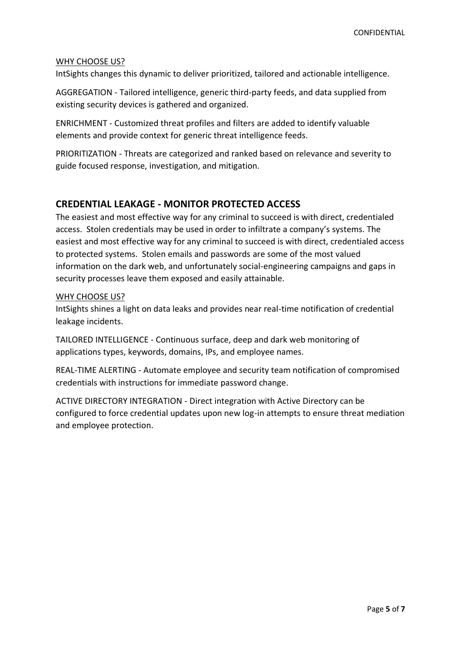#### WHY CHOOSE US?

IntSights changes this dynamic to deliver prioritized, tailored and actionable intelligence.

AGGREGATION - Tailored intelligence, generic third-party feeds, and data supplied from existing security devices is gathered and organized.

ENRICHMENT - Customized threat profiles and filters are added to identify valuable elements and provide context for generic threat intelligence feeds.

PRIORITIZATION - Threats are categorized and ranked based on relevance and severity to guide focused response, investigation, and mitigation.

## **CREDENTIAL LEAKAGE - MONITOR PROTECTED ACCESS**

The easiest and most effective way for any criminal to succeed is with direct, credentialed access. Stolen credentials may be used in order to infiltrate a company's systems. The easiest and most effective way for any criminal to succeed is with direct, credentialed access to protected systems. Stolen emails and passwords are some of the most valued information on the dark web, and unfortunately social-engineering campaigns and gaps in security processes leave them exposed and easily attainable.

#### WHY CHOOSE US?

IntSights shines a light on data leaks and provides near real-time notification of credential leakage incidents.

TAILORED INTELLIGENCE - Continuous surface, deep and dark web monitoring of applications types, keywords, domains, IPs, and employee names.

REAL-TIME ALERTING - Automate employee and security team notification of compromised credentials with instructions for immediate password change.

ACTIVE DIRECTORY INTEGRATION - Direct integration with Active Directory can be configured to force credential updates upon new log-in attempts to ensure threat mediation and employee protection.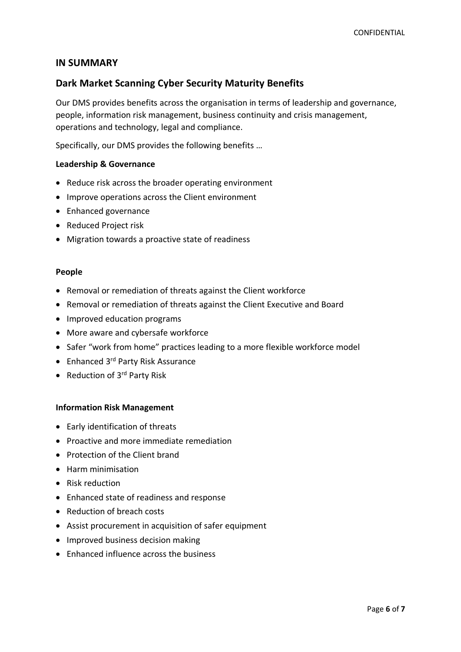## **IN SUMMARY**

# **Dark Market Scanning Cyber Security Maturity Benefits**

Our DMS provides benefits across the organisation in terms of leadership and governance, people, information risk management, business continuity and crisis management, operations and technology, legal and compliance.

Specifically, our DMS provides the following benefits …

#### **Leadership & Governance**

- Reduce risk across the broader operating environment
- Improve operations across the Client environment
- Enhanced governance
- Reduced Project risk
- Migration towards a proactive state of readiness

#### **People**

- Removal or remediation of threats against the Client workforce
- Removal or remediation of threats against the Client Executive and Board
- Improved education programs
- More aware and cybersafe workforce
- Safer "work from home" practices leading to a more flexible workforce model
- Enhanced 3<sup>rd</sup> Party Risk Assurance
- Reduction of 3<sup>rd</sup> Party Risk

#### **Information Risk Management**

- Early identification of threats
- Proactive and more immediate remediation
- Protection of the Client brand
- Harm minimisation
- Risk reduction
- Enhanced state of readiness and response
- Reduction of breach costs
- Assist procurement in acquisition of safer equipment
- Improved business decision making
- Enhanced influence across the business